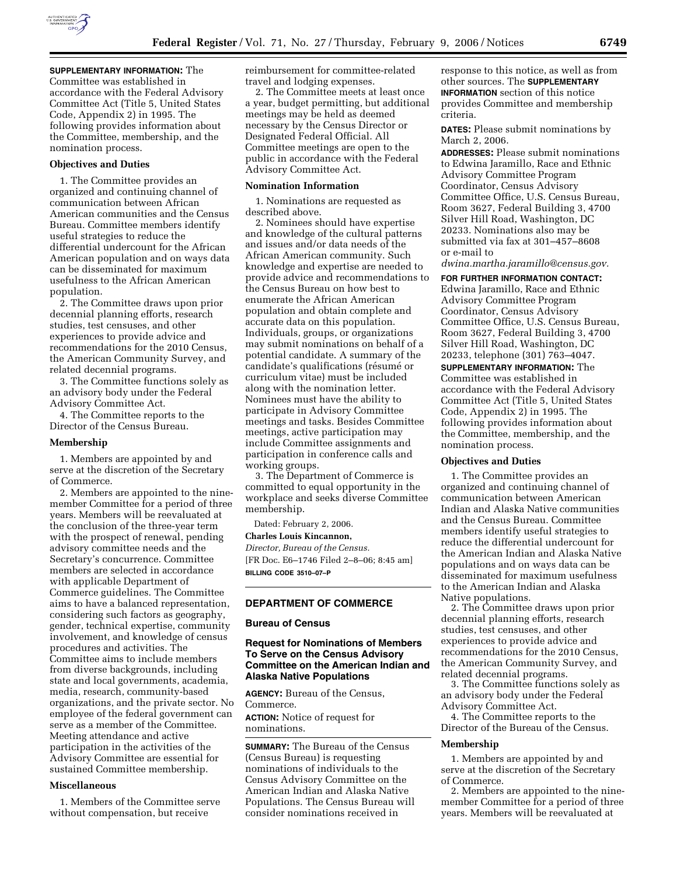

**SUPPLEMENTARY INFORMATION:** The Committee was established in

accordance with the Federal Advisory Committee Act (Title 5, United States Code, Appendix 2) in 1995. The following provides information about the Committee, membership, and the nomination process.

## **Objectives and Duties**

1. The Committee provides an organized and continuing channel of communication between African American communities and the Census Bureau. Committee members identify useful strategies to reduce the differential undercount for the African American population and on ways data can be disseminated for maximum usefulness to the African American population.

2. The Committee draws upon prior decennial planning efforts, research studies, test censuses, and other experiences to provide advice and recommendations for the 2010 Census, the American Community Survey, and related decennial programs.

3. The Committee functions solely as an advisory body under the Federal Advisory Committee Act.

4. The Committee reports to the Director of the Census Bureau.

#### **Membership**

1. Members are appointed by and serve at the discretion of the Secretary of Commerce.

2. Members are appointed to the ninemember Committee for a period of three years. Members will be reevaluated at the conclusion of the three-year term with the prospect of renewal, pending advisory committee needs and the Secretary's concurrence. Committee members are selected in accordance with applicable Department of Commerce guidelines. The Committee aims to have a balanced representation, considering such factors as geography, gender, technical expertise, community involvement, and knowledge of census procedures and activities. The Committee aims to include members from diverse backgrounds, including state and local governments, academia, media, research, community-based organizations, and the private sector. No employee of the federal government can serve as a member of the Committee. Meeting attendance and active participation in the activities of the Advisory Committee are essential for sustained Committee membership.

# **Miscellaneous**

1. Members of the Committee serve without compensation, but receive

reimbursement for committee-related travel and lodging expenses.

2. The Committee meets at least once a year, budget permitting, but additional meetings may be held as deemed necessary by the Census Director or Designated Federal Official. All Committee meetings are open to the public in accordance with the Federal Advisory Committee Act.

## **Nomination Information**

1. Nominations are requested as described above.

2. Nominees should have expertise and knowledge of the cultural patterns and issues and/or data needs of the African American community. Such knowledge and expertise are needed to provide advice and recommendations to the Census Bureau on how best to enumerate the African American population and obtain complete and accurate data on this population. Individuals, groups, or organizations may submit nominations on behalf of a potential candidate. A summary of the candidate's qualifications (résumé or curriculum vitae) must be included along with the nomination letter. Nominees must have the ability to participate in Advisory Committee meetings and tasks. Besides Committee meetings, active participation may include Committee assignments and participation in conference calls and working groups.

3. The Department of Commerce is committed to equal opportunity in the workplace and seeks diverse Committee membership.

Dated: February 2, 2006.

**Charles Louis Kincannon,** 

*Director, Bureau of the Census.*  [FR Doc. E6–1746 Filed 2–8–06; 8:45 am] **BILLING CODE 3510–07–P** 

# **DEPARTMENT OF COMMERCE**

### **Bureau of Census**

# **Request for Nominations of Members To Serve on the Census Advisory Committee on the American Indian and Alaska Native Populations**

**AGENCY:** Bureau of the Census, Commerce.

**ACTION:** Notice of request for nominations.

**SUMMARY:** The Bureau of the Census (Census Bureau) is requesting nominations of individuals to the Census Advisory Committee on the American Indian and Alaska Native Populations. The Census Bureau will consider nominations received in

response to this notice, as well as from other sources. The **SUPPLEMENTARY INFORMATION** section of this notice provides Committee and membership criteria.

**DATES:** Please submit nominations by March 2, 2006.

**ADDRESSES:** Please submit nominations to Edwina Jaramillo, Race and Ethnic Advisory Committee Program Coordinator, Census Advisory Committee Office, U.S. Census Bureau, Room 3627, Federal Building 3, 4700 Silver Hill Road, Washington, DC 20233. Nominations also may be submitted via fax at 301–457–8608 or e-mail to

*dwina.martha.jaramillo@census.gov.* 

## **FOR FURTHER INFORMATION CONTACT:**

Edwina Jaramillo, Race and Ethnic Advisory Committee Program Coordinator, Census Advisory Committee Office, U.S. Census Bureau, Room 3627, Federal Building 3, 4700 Silver Hill Road, Washington, DC 20233, telephone (301) 763–4047.

**SUPPLEMENTARY INFORMATION:** The Committee was established in accordance with the Federal Advisory Committee Act (Title 5, United States Code, Appendix 2) in 1995. The following provides information about the Committee, membership, and the nomination process.

### **Objectives and Duties**

1. The Committee provides an organized and continuing channel of communication between American Indian and Alaska Native communities and the Census Bureau. Committee members identify useful strategies to reduce the differential undercount for the American Indian and Alaska Native populations and on ways data can be disseminated for maximum usefulness to the American Indian and Alaska Native populations.

2. The Committee draws upon prior decennial planning efforts, research studies, test censuses, and other experiences to provide advice and recommendations for the 2010 Census, the American Community Survey, and related decennial programs.

3. The Committee functions solely as an advisory body under the Federal Advisory Committee Act.

4. The Committee reports to the Director of the Bureau of the Census.

#### **Membership**

1. Members are appointed by and serve at the discretion of the Secretary of Commerce.

2. Members are appointed to the ninemember Committee for a period of three years. Members will be reevaluated at